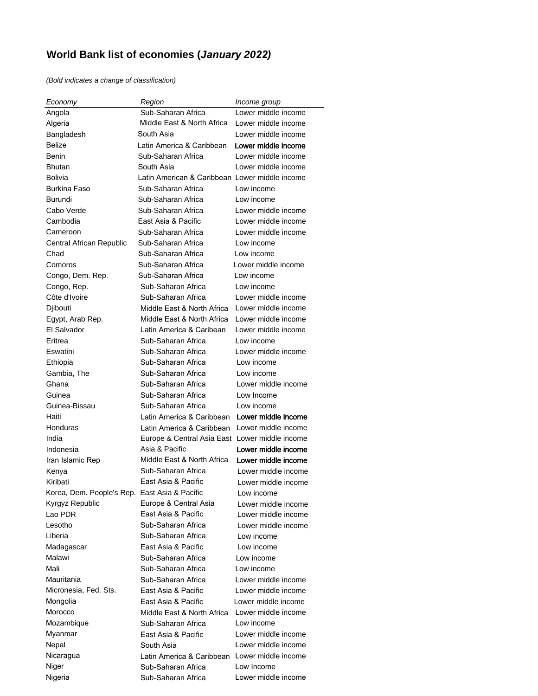## **World Bank list of economies (***January 2022)*

*(Bold indicates a change of classification)*

| Economy                                       | Region                                         | Income group        |
|-----------------------------------------------|------------------------------------------------|---------------------|
| Angola                                        | Sub-Saharan Africa                             | Lower middle income |
| Algeria                                       | Middle East & North Africa                     | Lower middle income |
| Bangladesh                                    | South Asia                                     | Lower middle income |
| <b>Belize</b>                                 | Latin America & Caribbean                      | Lower middle income |
| Benin                                         | Sub-Saharan Africa                             | Lower middle income |
| <b>Bhutan</b>                                 | South Asia                                     | Lower middle income |
| Bolivia                                       | Latin American & Caribbean Lower middle income |                     |
| Burkina Faso                                  | Sub-Saharan Africa                             | Low income          |
| Burundi                                       | Sub-Saharan Africa                             | Low income          |
| Cabo Verde                                    | Sub-Saharan Africa                             | Lower middle income |
| Cambodia                                      | Fast Asia & Pacific                            | Lower middle income |
| Cameroon                                      | Sub-Saharan Africa                             | Lower middle income |
| Central African Republic                      | Sub-Saharan Africa                             | Low income          |
| Chad                                          | Sub-Saharan Africa                             | Low income          |
| Comoros                                       | Sub-Saharan Africa                             | Lower middle income |
| Congo, Dem. Rep.                              | Sub-Saharan Africa                             | Low income          |
| Congo, Rep.                                   | Sub-Saharan Africa                             | Low income          |
| Côte d'Ivoire                                 | Sub-Saharan Africa                             | Lower middle income |
| Djibouti                                      | Middle Fast & North Africa                     | Lower middle income |
| Egypt, Arab Rep.                              | Middle East & North Africa                     | Lower middle income |
| El Salvador                                   | Latin America & Caribean                       | Lower middle income |
| Eritrea                                       | Sub-Saharan Africa                             | Low income          |
| Eswatini                                      | Sub-Saharan Africa                             | Lower middle income |
| Ethiopia                                      | Sub-Saharan Africa                             | Low income          |
| Gambia, The                                   | Sub-Saharan Africa                             | Low income          |
| Ghana                                         | Sub-Saharan Africa                             | Lower middle income |
| Guinea                                        | Sub-Saharan Africa                             | Low Income          |
| Guinea-Bissau                                 | Sub-Saharan Africa                             | Low income          |
| Haiti                                         | Latin America & Caribbean                      | Lower middle income |
| Honduras                                      | Latin America & Caribbean                      | Lower middle income |
| India                                         | Europe & Central Asia East Lower middle income |                     |
| Indonesia                                     | Asia & Pacific                                 | Lower middle income |
| Iran Islamic Rep                              | Middle East & North Africa                     | Lower middle income |
| Kenya                                         | Sub-Saharan Africa                             | Lower middle income |
| Kiribati                                      | East Asia & Pacific                            | Lower middle income |
| Korea, Dem. People's Rep. East Asia & Pacific |                                                | Low income          |
| Kyrgyz Republic                               | Europe & Central Asia                          | Lower middle income |
| Lao PDR                                       | East Asia & Pacific                            | Lower middle income |
| Lesotho                                       | Sub-Saharan Africa                             | Lower middle income |
| Liberia                                       | Sub-Saharan Africa                             | Low income          |
| Madagascar                                    | East Asia & Pacific                            | Low income          |
| Malawi                                        | Sub-Saharan Africa                             | Low income          |
| Mali                                          | Sub-Saharan Africa                             | Low income          |
| Mauritania                                    | Sub-Saharan Africa                             | Lower middle income |
| Micronesia, Fed. Sts.                         | East Asia & Pacific                            | Lower middle income |
| Mongolia                                      | East Asia & Pacific                            | Lower middle income |
| Morocco                                       | Middle East & North Africa                     | Lower middle income |
| Mozambique                                    | Sub-Saharan Africa                             | Low income          |
| Myanmar                                       | East Asia & Pacific                            | Lower middle income |
| Nepal                                         | South Asia                                     | Lower middle income |
| Nicaragua                                     | Latin America & Caribbean                      | Lower middle income |
| Niger                                         | Sub-Saharan Africa                             | Low Income          |
| Nigeria                                       | Sub-Saharan Africa                             | Lower middle income |